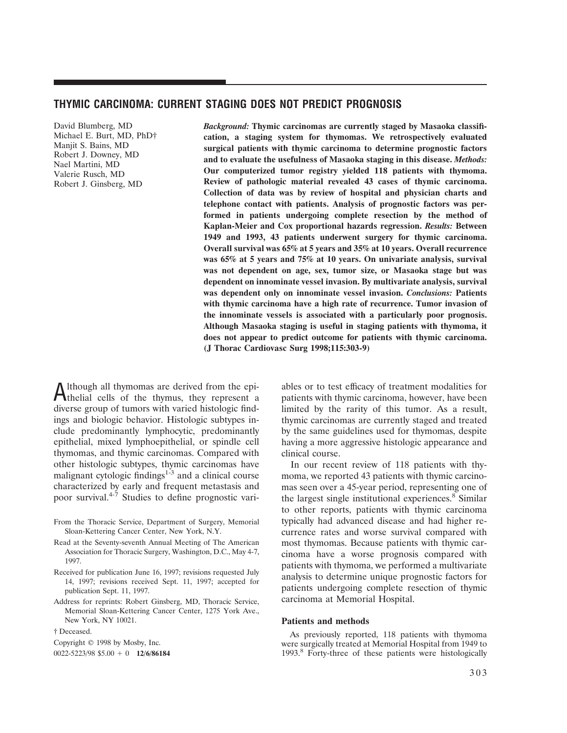# **THYMIC CARCINOMA: CURRENT STAGING DOES NOT PREDICT PROGNOSIS**

David Blumberg, MD Michael E. Burt, MD, PhD† Manjit S. Bains, MD Robert J. Downey, MD Nael Martini, MD Valerie Rusch, MD Robert J. Ginsberg, MD

*Background:* **Thymic carcinomas are currently staged by Masaoka classification, a staging system for thymomas. We retrospectively evaluated surgical patients with thymic carcinoma to determine prognostic factors and to evaluate the usefulness of Masaoka staging in this disease.** *Methods:* **Our computerized tumor registry yielded 118 patients with thymoma. Review of pathologic material revealed 43 cases of thymic carcinoma. Collection of data was by review of hospital and physician charts and telephone contact with patients. Analysis of prognostic factors was performed in patients undergoing complete resection by the method of Kaplan-Meier and Cox proportional hazards regression.** *Results:* **Between 1949 and 1993, 43 patients underwent surgery for thymic carcinoma. Overall survival was 65% at 5 years and 35% at 10 years. Overall recurrence was 65% at 5 years and 75% at 10 years. On univariate analysis, survival was not dependent on age, sex, tumor size, or Masaoka stage but was dependent on innominate vessel invasion. By multivariate analysis, survival was dependent only on innominate vessel invasion.** *Conclusions:* **Patients with thymic carcinoma have a high rate of recurrence. Tumor invasion of the innominate vessels is associated with a particularly poor prognosis. Although Masaoka staging is useful in staging patients with thymoma, it does not appear to predict outcome for patients with thymic carcinoma. (J Thorac Cardiovasc Surg 1998;115:303-9)**

Although all thymomas are derived from the epi-thelial cells of the thymus, they represent a diverse group of tumors with varied histologic findings and biologic behavior. Histologic subtypes include predominantly lymphocytic, predominantly epithelial, mixed lymphoepithelial, or spindle cell thymomas, and thymic carcinomas. Compared with other histologic subtypes, thymic carcinomas have malignant cytologic findings $1-3$  and a clinical course characterized by early and frequent metastasis and poor survival. $4\frac{1}{7}$  Studies to define prognostic vari-

- From the Thoracic Service, Department of Surgery, Memorial Sloan-Kettering Cancer Center, New York, N.Y.
- Read at the Seventy-seventh Annual Meeting of The American Association for Thoracic Surgery, Washington, D.C., May 4-7, 1997.
- Received for publication June 16, 1997; revisions requested July 14, 1997; revisions received Sept. 11, 1997; accepted for publication Sept. 11, 1997.
- Address for reprints: Robert Ginsberg, MD, Thoracic Service, Memorial Sloan-Kettering Cancer Center, 1275 York Ave., New York, NY 10021.

† Deceased.

Copyright © 1998 by Mosby, Inc.

 $0.022 - 5223/98$  \$5.00 + 0 **12/6/86184** 

ables or to test efficacy of treatment modalities for patients with thymic carcinoma, however, have been limited by the rarity of this tumor. As a result, thymic carcinomas are currently staged and treated by the same guidelines used for thymomas, despite having a more aggressive histologic appearance and clinical course.

In our recent review of 118 patients with thymoma, we reported 43 patients with thymic carcinomas seen over a 45-year period, representing one of the largest single institutional experiences.<sup>8</sup> Similar to other reports, patients with thymic carcinoma typically had advanced disease and had higher recurrence rates and worse survival compared with most thymomas. Because patients with thymic carcinoma have a worse prognosis compared with patients with thymoma, we performed a multivariate analysis to determine unique prognostic factors for patients undergoing complete resection of thymic carcinoma at Memorial Hospital.

## **Patients and methods**

As previously reported, 118 patients with thymoma were surgically treated at Memorial Hospital from 1949 to 1993.8 Forty-three of these patients were histologically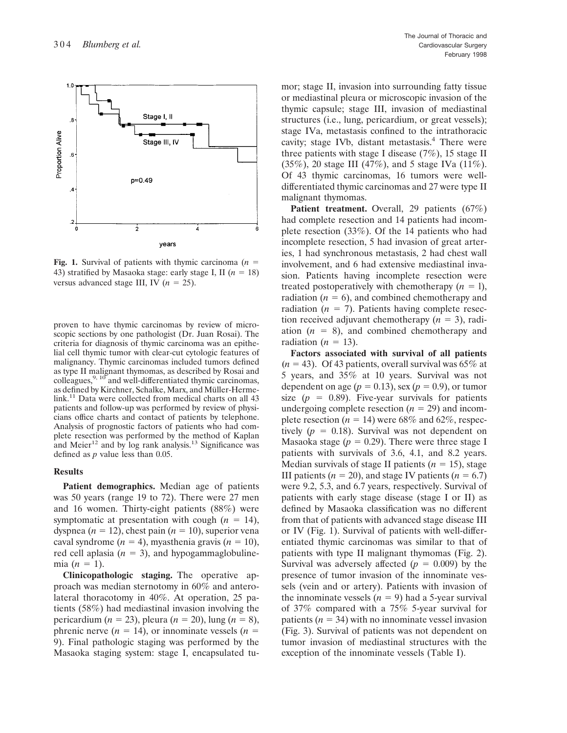

**Fig. 1.** Survival of patients with thymic carcinoma  $(n = 1$ 43) stratified by Masaoka stage: early stage I, II  $(n = 18)$ versus advanced stage III, IV  $(n = 25)$ .

proven to have thymic carcinomas by review of microscopic sections by one pathologist (Dr. Juan Rosai). The criteria for diagnosis of thymic carcinoma was an epithelial cell thymic tumor with clear-cut cytologic features of malignancy. Thymic carcinomas included tumors defined as type II malignant thymomas, as described by Rosai and colleagues, $9, 10$  and well-differentiated thymic carcinomas, as defined by Kirchner, Schalke, Marx, and Müller-Hermelink.<sup>11</sup> Data were collected from medical charts on all 43 patients and follow-up was performed by review of physicians office charts and contact of patients by telephone. Analysis of prognostic factors of patients who had complete resection was performed by the method of Kaplan and Meier $12$  and by log rank analysis.<sup>13</sup> Significance was defined as *p* value less than 0.05.

## **Results**

**Patient demographics.** Median age of patients was 50 years (range 19 to 72). There were 27 men and 16 women. Thirty-eight patients (88%) were symptomatic at presentation with cough  $(n = 14)$ , dyspnea ( $n = 12$ ), chest pain ( $n = 10$ ), superior vena caval syndrome  $(n = 4)$ , myasthenia gravis  $(n = 10)$ , red cell aplasia  $(n = 3)$ , and hypogammaglobulinemia  $(n = 1)$ .

**Clinicopathologic staging.** The operative approach was median sternotomy in 60% and anterolateral thoracotomy in 40%. At operation, 25 patients (58%) had mediastinal invasion involving the pericardium ( $n = 23$ ), pleura ( $n = 20$ ), lung ( $n = 8$ ), phrenic nerve ( $n = 14$ ), or innominate vessels ( $n =$ 9). Final pathologic staging was performed by the Masaoka staging system: stage I, encapsulated tumor; stage II, invasion into surrounding fatty tissue or mediastinal pleura or microscopic invasion of the thymic capsule; stage III, invasion of mediastinal structures (i.e., lung, pericardium, or great vessels); stage IVa, metastasis confined to the intrathoracic cavity; stage IVb, distant metastasis.<sup>4</sup> There were three patients with stage I disease  $(7\%)$ , 15 stage II (35%), 20 stage III (47%), and 5 stage IVa (11%). Of 43 thymic carcinomas, 16 tumors were welldifferentiated thymic carcinomas and 27 were type II malignant thymomas.

Patient treatment. Overall, 29 patients (67%) had complete resection and 14 patients had incomplete resection (33%). Of the 14 patients who had incomplete resection, 5 had invasion of great arteries, 1 had synchronous metastasis, 2 had chest wall involvement, and 6 had extensive mediastinal invasion. Patients having incomplete resection were treated postoperatively with chemotherapy  $(n = 1)$ , radiation  $(n = 6)$ , and combined chemotherapy and radiation  $(n = 7)$ . Patients having complete resection received adjuvant chemotherapy  $(n = 3)$ , radiation  $(n = 8)$ , and combined chemotherapy and radiation  $(n = 13)$ .

**Factors associated with survival of all patients**  $(n = 43)$ . Of 43 patients, overall survival was 65% at 5 years, and 35% at 10 years. Survival was not dependent on age ( $p = 0.13$ ), sex ( $p = 0.9$ ), or tumor size  $(p = 0.89)$ . Five-year survivals for patients undergoing complete resection  $(n = 29)$  and incomplete resection ( $n = 14$ ) were 68% and 62%, respectively  $(p = 0.18)$ . Survival was not dependent on Masaoka stage  $(p = 0.29)$ . There were three stage I patients with survivals of 3.6, 4.1, and 8.2 years. Median survivals of stage II patients  $(n = 15)$ , stage III patients ( $n = 20$ ), and stage IV patients ( $n = 6.7$ ) were 9.2, 5.3, and 6.7 years, respectively. Survival of patients with early stage disease (stage I or II) as defined by Masaoka classification was no different from that of patients with advanced stage disease III or IV (Fig. 1). Survival of patients with well-differentiated thymic carcinomas was similar to that of patients with type II malignant thymomas (Fig. 2). Survival was adversely affected  $(p = 0.009)$  by the presence of tumor invasion of the innominate vessels (vein and or artery). Patients with invasion of the innominate vessels  $(n = 9)$  had a 5-year survival of 37% compared with a 75% 5-year survival for patients  $(n = 34)$  with no innominate vessel invasion (Fig. 3). Survival of patients was not dependent on tumor invasion of mediastinal structures with the exception of the innominate vessels (Table I).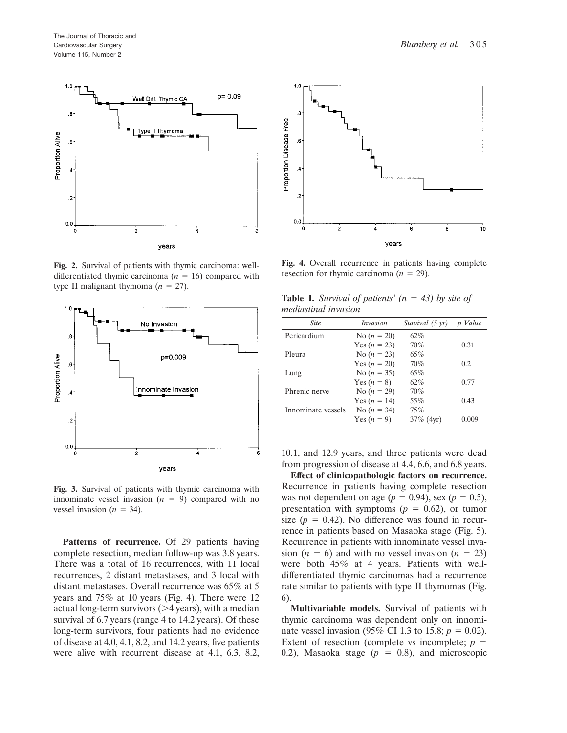

**Fig. 2.** Survival of patients with thymic carcinoma: welldifferentiated thymic carcinoma  $(n = 16)$  compared with type II malignant thymoma  $(n = 27)$ .



**Fig. 3.** Survival of patients with thymic carcinoma with innominate vessel invasion  $(n = 9)$  compared with no vessel invasion ( $n = 34$ ).

**Patterns of recurrence.** Of 29 patients having complete resection, median follow-up was 3.8 years. There was a total of 16 recurrences, with 11 local recurrences, 2 distant metastases, and 3 local with distant metastases. Overall recurrence was 65% at 5 years and 75% at 10 years (Fig. 4). There were 12 actual long-term survivors  $(>4$  years), with a median survival of 6.7 years (range 4 to 14.2 years). Of these long-term survivors, four patients had no evidence of disease at 4.0, 4.1, 8.2, and 14.2 years, five patients were alive with recurrent disease at 4.1, 6.3, 8.2,



**Fig. 4.** Overall recurrence in patients having complete resection for thymic carcinoma  $(n = 29)$ .

|  | <b>Table I.</b> Survival of patients' $(n = 43)$ by site of |  |  |  |
|--|-------------------------------------------------------------|--|--|--|
|  | mediastinal invasion                                        |  |  |  |

| <b>Site</b>        | <i>Invasion</i> | Survival (5 yr) | p Value |
|--------------------|-----------------|-----------------|---------|
| Pericardium        | No $(n = 20)$   | 62%             |         |
|                    | Yes $(n = 23)$  | 70%             | 0.31    |
| Pleura             | No $(n = 23)$   | 65%             |         |
|                    | Yes $(n = 20)$  | 70%             | 0.2.    |
| Lung               | No $(n = 35)$   | 65%             |         |
|                    | Yes $(n = 8)$   | 62%             | 0.77    |
| Phrenic nerve      | No $(n = 29)$   | 70%             |         |
|                    | Yes $(n = 14)$  | 55%             | 0.43    |
| Innominate vessels | No $(n = 34)$   | 75%             |         |
|                    | Yes $(n = 9)$   | $37\%$ (4yr)    | 0.009   |

10.1, and 12.9 years, and three patients were dead from progression of disease at 4.4, 6.6, and 6.8 years.

**Effect of clinicopathologic factors on recurrence.** Recurrence in patients having complete resection was not dependent on age ( $p = 0.94$ ), sex ( $p = 0.5$ ), presentation with symptoms  $(p = 0.62)$ , or tumor size ( $p = 0.42$ ). No difference was found in recurrence in patients based on Masaoka stage (Fig. 5). Recurrence in patients with innominate vessel invasion  $(n = 6)$  and with no vessel invasion  $(n = 23)$ were both 45% at 4 years. Patients with welldifferentiated thymic carcinomas had a recurrence rate similar to patients with type II thymomas (Fig. 6).

**Multivariable models.** Survival of patients with thymic carcinoma was dependent only on innominate vessel invasion (95% CI 1.3 to 15.8;  $p = 0.02$ ). Extent of resection (complete vs incomplete;  $p =$ 0.2), Masaoka stage  $(p = 0.8)$ , and microscopic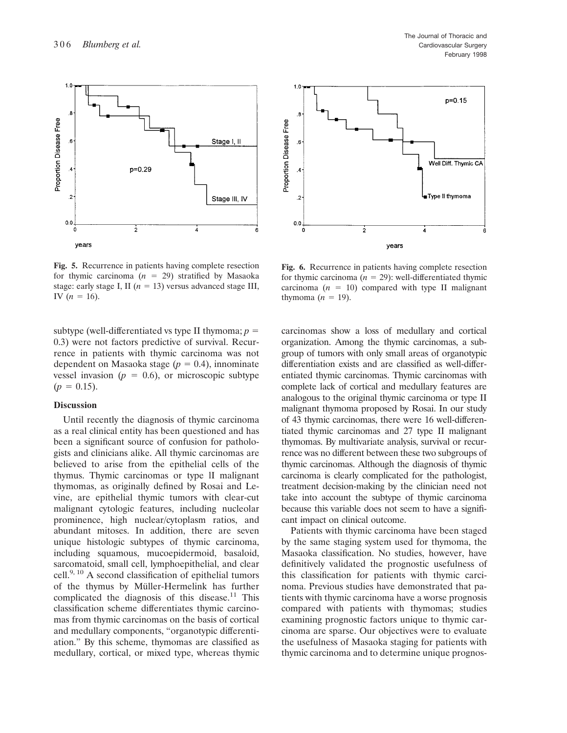$1.0$ 

Proportion Disease Free



The Journal of Thoracic and Cardiovascular Surgery February 1998



**Fig. 5.** Recurrence in patients having complete resection for thymic carcinoma  $(n = 29)$  stratified by Masaoka stage: early stage I, II ( $n = 13$ ) versus advanced stage III, IV  $(n = 16)$ .

subtype (well-differentiated vs type II thymoma;  $p =$ 0.3) were not factors predictive of survival. Recurrence in patients with thymic carcinoma was not dependent on Masaoka stage  $(p = 0.4)$ , innominate vessel invasion ( $p = 0.6$ ), or microscopic subtype  $(p = 0.15)$ .

## **Discussion**

Until recently the diagnosis of thymic carcinoma as a real clinical entity has been questioned and has been a significant source of confusion for pathologists and clinicians alike. All thymic carcinomas are believed to arise from the epithelial cells of the thymus. Thymic carcinomas or type lI malignant thymomas, as originally defined by Rosai and Levine, are epithelial thymic tumors with clear-cut malignant cytologic features, including nucleolar prominence, high nuclear/cytoplasm ratios, and abundant mitoses. In addition, there are seven unique histologic subtypes of thymic carcinoma, including squamous, mucoepidermoid, basaloid, sarcomatoid, small cell, lymphoepithelial, and clear cell. $9,10$  A second classification of epithelial tumors of the thymus by Müller-Hermelink has further complicated the diagnosis of this disease.<sup>11</sup> This classification scheme differentiates thymic carcinomas from thymic carcinomas on the basis of cortical and medullary components, "organotypic differentiation." By this scheme, thymomas are classified as medullary, cortical, or mixed type, whereas thymic



**Fig. 6.** Recurrence in patients having complete resection for thymic carcinoma  $(n = 29)$ : well-differentiated thymic carcinoma  $(n = 10)$  compared with type II malignant thymoma  $(n = 19)$ .

carcinomas show a loss of medullary and cortical organization. Among the thymic carcinomas, a subgroup of tumors with only small areas of organotypic differentiation exists and are classified as well-differentiated thymic carcinomas. Thymic carcinomas with complete lack of cortical and medullary features are analogous to the original thymic carcinoma or type II malignant thymoma proposed by Rosai. In our study of 43 thymic carcinomas, there were 16 well-differentiated thymic carcinomas and 27 type II malignant thymomas. By multivariate analysis, survival or recurrence was no different between these two subgroups of thymic carcinomas. Although the diagnosis of thymic carcinoma is clearly complicated for the pathologist, treatment decision-making by the clinician need not take into account the subtype of thymic carcinoma because this variable does not seem to have a significant impact on clinical outcome.

Patients with thymic carcinoma have been staged by the same staging system used for thymoma, the Masaoka classification. No studies, however, have definitively validated the prognostic usefulness of this classification for patients with thymic carcinoma. Previous studies have demonstrated that patients with thymic carcinoma have a worse prognosis compared with patients with thymomas; studies examining prognostic factors unique to thymic carcinoma are sparse. Our objectives were to evaluate the usefulness of Masaoka staging for patients with thymic carcinoma and to determine unique prognos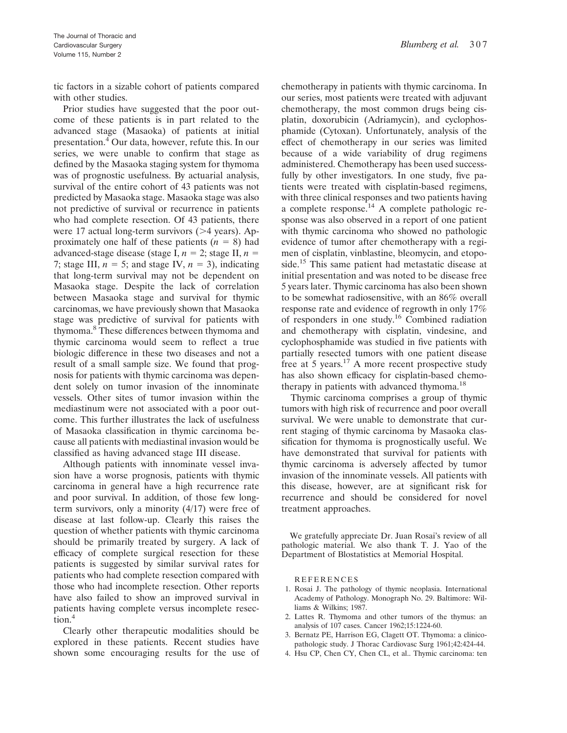tic factors in a sizable cohort of patients compared with other studies.

Prior studies have suggested that the poor outcome of these patients is in part related to the advanced stage (Masaoka) of patients at initial presentation.4 Our data, however, refute this. In our series, we were unable to confirm that stage as defined by the Masaoka staging system for thymoma was of prognostic usefulness. By actuarial analysis, survival of the entire cohort of 43 patients was not predicted by Masaoka stage. Masaoka stage was also not predictive of survival or recurrence in patients who had complete resection. Of 43 patients, there were 17 actual long-term survivors  $(>4$  years). Approximately one half of these patients  $(n = 8)$  had advanced-stage disease (stage I,  $n = 2$ ; stage II,  $n =$ 7; stage III,  $n = 5$ ; and stage IV,  $n = 3$ ), indicating that long-term survival may not be dependent on Masaoka stage. Despite the lack of correlation between Masaoka stage and survival for thymic carcinomas, we have previously shown that Masaoka stage was predictive of survival for patients with thymoma.8 These differences between thymoma and thymic carcinoma would seem to reflect a true biologic difference in these two diseases and not a result of a small sample size. We found that prognosis for patients with thymic carcinoma was dependent solely on tumor invasion of the innominate vessels. Other sites of tumor invasion within the mediastinum were not associated with a poor outcome. This further illustrates the lack of usefulness of Masaoka classification in thymic carcinoma because all patients with mediastinal invasion would be classified as having advanced stage III disease.

Although patients with innominate vessel invasion have a worse prognosis, patients with thymic carcinoma in general have a high recurrence rate and poor survival. In addition, of those few longterm survivors, only a minority (4/17) were free of disease at last follow-up. Clearly this raises the question of whether patients with thymic carcinoma should be primarily treated by surgery. A lack of efficacy of complete surgical resection for these patients is suggested by similar survival rates for patients who had complete resection compared with those who had incomplete resection. Other reports have also failed to show an improved survival in patients having complete versus incomplete resection.4

Clearly other therapeutic modalities should be explored in these patients. Recent studies have shown some encouraging results for the use of chemotherapy in patients with thymic carcinoma. In our series, most patients were treated with adjuvant chemotherapy, the most common drugs being cisplatin, doxorubicin (Adriamycin), and cyclophosphamide (Cytoxan). Unfortunately, analysis of the effect of chemotherapy in our series was limited because of a wide variability of drug regimens administered. Chemotherapy has been used successfully by other investigators. In one study, five patients were treated with cisplatin-based regimens, with three clinical responses and two patients having a complete response.14 A complete pathologic response was also observed in a report of one patient with thymic carcinoma who showed no pathologic evidence of tumor after chemotherapy with a regimen of cisplatin, vinblastine, bleomycin, and etoposide.<sup>15</sup> This same patient had metastatic disease at initial presentation and was noted to be disease free 5 years later. Thymic carcinoma has also been shown to be somewhat radiosensitive, with an 86% overall response rate and evidence of regrowth in only 17% of responders in one study.16 Combined radiation and chemotherapy with cisplatin, vindesine, and cyclophosphamide was studied in five patients with partially resected tumors with one patient disease free at 5 years.<sup>17</sup> A more recent prospective study has also shown efficacy for cisplatin-based chemotherapy in patients with advanced thymoma.<sup>18</sup>

Thymic carcinoma comprises a group of thymic tumors with high risk of recurrence and poor overall survival. We were unable to demonstrate that current staging of thymic carcinoma by Masaoka classification for thymoma is prognostically useful. We have demonstrated that survival for patients with thymic carcinoma is adversely affected by tumor invasion of the innominate vessels. All patients with this disease, however, are at significant risk for recurrence and should be considered for novel treatment approaches.

We gratefully appreciate Dr. Juan Rosai's review of all pathologic material. We also thank T. J. Yao of the Department of Blostatistics at Memorial Hospital.

REFERENCES

- 1. Rosai J. The pathology of thymic neoplasia. International Academy of Pathology. Monograph No. 29. Baltimore: Williams & Wilkins; 1987.
- 2. Lattes R. Thymoma and other tumors of the thymus: an analysis of 107 cases. Cancer 1962;15:1224-60.
- 3. Bernatz PE, Harrison EG, Clagett OT. Thymoma: a clinicopathologic study. J Thorac Cardiovasc Surg 1961;42:424-44.
- 4. Hsu CP, Chen CY, Chen CL, et al.. Thymic carcinoma: ten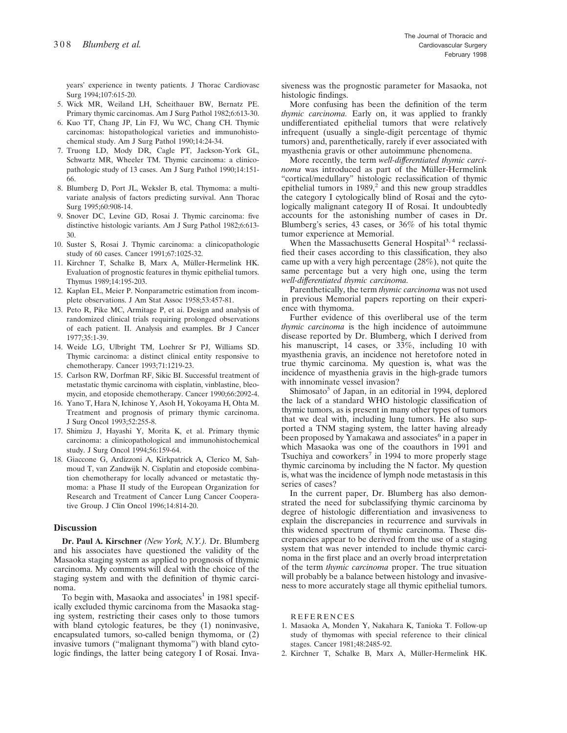years' experience in twenty patients. J Thorac Cardiovasc Surg 1994;107:615-20.

- 5. Wick MR, Weiland LH, Scheithauer BW, Bernatz PE. Primary thymic carcinomas. Am J Surg Pathol 1982;6:613-30.
- 6. Kuo TT, Chang JP, Lin FJ, Wu WC, Chang CH. Thymic carcinomas: histopathological varieties and immunohistochemical study. Am J Surg Pathol 1990;14:24-34.
- 7. Truong LD, Mody DR, Cagle PT, Jackson-York GL, Schwartz MR, Wheeler TM. Thymic carcinoma: a clinicopathologic study of 13 cases. Am J Surg Pathol 1990;14:151- 66.
- 8. Blumberg D, Port JL, Weksler B, etal. Thymoma: a multivariate analysis of factors predicting survival. Ann Thorac Surg 1995;60:908-14.
- 9. Snover DC, Levine GD, Rosai J. Thymic carcinoma: five distinctive histologic variants. Am J Surg Pathol 1982;6:613- 30.
- 10. Suster S, Rosai J. Thymic carcinoma: a clinicopathologic study of 60 cases. Cancer 1991;67:1025-32.
- 11. Kirchner T, Schalke B, Marx A, Müller-Hermelink HK. Evaluation of prognostic features in thymic epithelial tumors. Thymus 1989;14:195-203.
- 12. Kaplan EL, Meier P. Nonparametric estimation from incomplete observations. J Am Stat Assoc 1958;53:457-81.
- 13. Peto R, Pike MC, Armitage P, et ai. Design and analysis of randomized clinical trials requiring prolonged observations of each patient. II. Analysis and examples. Br J Cancer 1977;35:1-39.
- 14. Weide LG, Ulbright TM, Loehrer Sr PJ, Williams SD. Thymic carcinoma: a distinct clinical entity responsive to chemotherapy. Cancer 1993;71:1219-23.
- 15. Carlson RW, Dorfman RF, Sikic BI. Successful treatment of metastatic thymic carcinoma with cisplatin, vinblastine, bleomycin, and etoposide chemotherapy. Cancer 1990;66:2092-4.
- 16. Yano T, Hara N, Ichinose Y, Asoh H, Yokoyama H, Ohta M. Treatment and prognosis of primary thymic carcinoma. J Surg Oncol 1993;52:255-8.
- 17. Shimizu J, Hayashi Y, Morita K, et al. Primary thymic carcinoma: a clinicopathological and immunohistochemical study. J Surg Oncol 1994;56:159-64.
- 18. Giaccone G, Ardizzoni A, Kirkpatrick A, Clerico M, Sahmoud T, van Zandwijk N. Cisplatin and etoposide combination chemotherapy for locally advanced or metastatic thymoma: a Phase II study of the European Organization for Research and Treatment of Cancer Lung Cancer Cooperative Group. J Clin Oncol 1996;14:814-20.

#### **Discussion**

**Dr. Paul A. Kirschner** *(New York, N.Y.).* Dr. Blumberg and his associates have questioned the validity of the Masaoka staging system as applied to prognosis of thymic carcinoma. My comments will deal with the choice of the staging system and with the definition of thymic carcinoma.

To begin with, Masaoka and associates<sup>1</sup> in 1981 specifically excluded thymic carcinoma from the Masaoka staging system, restricting their cases only to those tumors with bland cytologic features, be they (1) noninvasive, encapsulated tumors, so-called benign thymoma, or (2) invasive tumors ("malignant thymoma") with bland cytologic findings, the latter being category I of Rosai. Invasiveness was the prognostic parameter for Masaoka, not histologic findings.

More confusing has been the definition of the term *thymic carcinoma.* Early on, it was applied to frankly undifferentiated epithelial tumors that were relatively infrequent (usually a single-digit percentage of thymic tumors) and, parenthetically, rarely if ever associated with myasthenia gravis or other autoimmune phenomena.

More recently, the term *well-differentiated thymic carcinoma* was introduced as part of the Müller-Hermelink "cortical/medullary" histologic reclassification of thymic epithelial tumors in  $1989<sup>2</sup>$  and this new group straddles the category I cytologically blind of Rosai and the cytologically malignant category II of Rosai. It undoubtedly accounts for the astonishing number of cases in Dr. Blumberg's series, 43 cases, or 36% of his total thymic tumor experience at Memorial.

When the Massachusetts General Hospital<sup>3, 4</sup> reclassified their cases according to this classification, they also came up with a very high percentage (28%), not quite the same percentage but a very high one, using the term *well-differentiated thymic carcinoma.*

Parenthetically, the term *thymic carcinoma* was not used in previous Memorial papers reporting on their experience with thymoma.

Further evidence of this overliberal use of the term *thymic carcinoma* is the high incidence of autoimmune disease reported by Dr. Blumberg, which I derived from his manuscript, 14 cases, or 33%, including 10 with myasthenia gravis, an incidence not heretofore noted in true thymic carcinoma. My question is, what was the incidence of myasthenia gravis in the high-grade tumors with innominate vessel invasion?

Shimosato<sup>5</sup> of Japan, in an editorial in 1994, deplored the lack of a standard WHO histologic classification of thymic tumors, as is present in many other types of tumors that we deal with, including lung tumors. He also supported a TNM staging system, the latter having already been proposed by Yamakawa and associates<sup>6</sup> in a paper in which Masaoka was one of the coauthors in 1991 and Tsuchiya and coworkers<sup>7</sup> in 1994 to more properly stage thymic carcinoma by including the N factor. My question is, what was the incidence of lymph node metastasis in this series of cases?

In the current paper, Dr. Blumberg has also demonstrated the need for subclassifying thymic carcinoma by degree of histologic differentiation and invasiveness to explain the discrepancies in recurrence and survivals in this widened spectrum of thymic carcinoma. These discrepancies appear to be derived from the use of a staging system that was never intended to include thymic carcinoma in the first place and an overly broad interpretation of the term *thymic carcinoma* proper. The true situation will probably be a balance between histology and invasiveness to more accurately stage all thymic epithelial tumors.

REFERENCES

- 1. Masaoka A, Monden Y, Nakahara K, Tanioka T. Follow-up study of thymomas with special reference to their clinical stages. Cancer 1981;48:2485-92.
- 2. Kirchner T, Schalke B, Marx A, Müller-Hermelink HK.